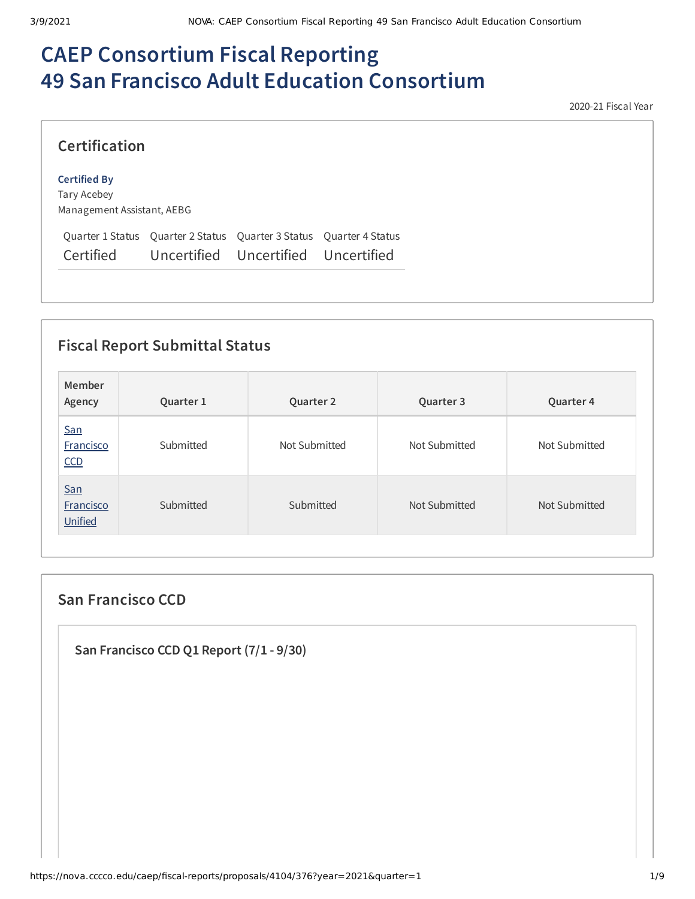# **CAEP Consortium Fiscal Reporting 49 San Francisco Adult Education Consortium**

2020-21 Fiscal Year

### **Certification**

#### **Certified By**

Tary Acebey Management Assistant, AEBG

Quarter 1 Status Quarter 2 Status Quarter 3 Status Quarter 4 Status Certified Uncertified Uncertified Uncertified

# **Fiscal Report Submittal Status**

| Member<br>Agency                   | Quarter 1 | Quarter 2     | Quarter 3     | Quarter 4     |
|------------------------------------|-----------|---------------|---------------|---------------|
| San<br>Francisco<br>CCD            | Submitted | Not Submitted | Not Submitted | Not Submitted |
| San<br><b>Francisco</b><br>Unified | Submitted | Submitted     | Not Submitted | Not Submitted |

## **San Francisco CCD**

**San Francisco CCD Q1 Report (7/1 - 9/30)**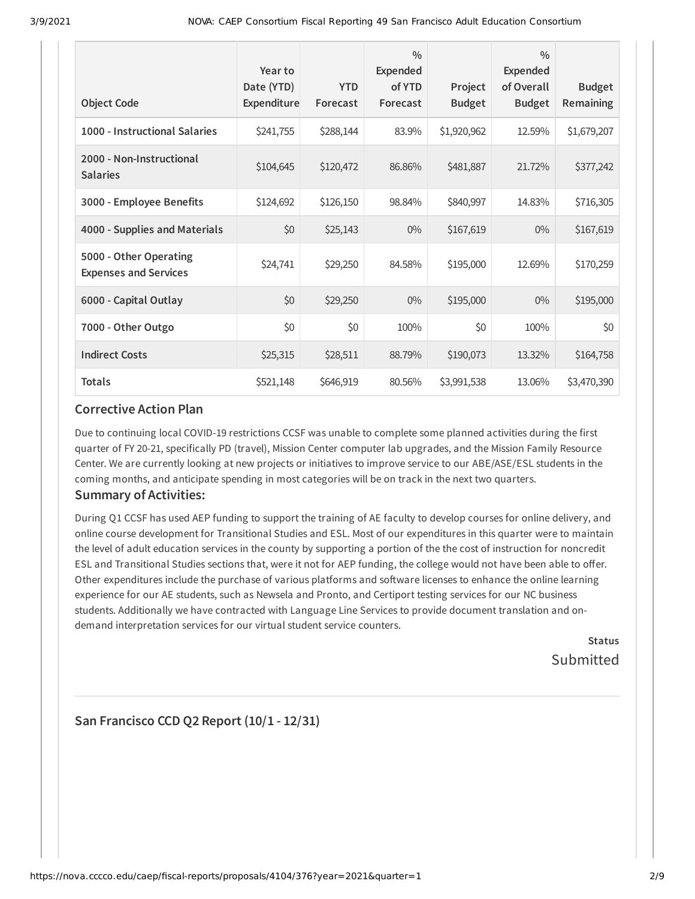| <b>Object Code</b>                                     | Year to<br>Date (YTD)<br><b>Expenditure</b> | <b>YTD</b><br>Forecast | $\frac{0}{0}$<br><b>Expended</b><br>of YTD<br>Forecast | Project<br><b>Budget</b> | $\frac{0}{0}$<br><b>Expended</b><br>of Overall<br><b>Budget</b> | <b>Budget</b><br>Remaining |
|--------------------------------------------------------|---------------------------------------------|------------------------|--------------------------------------------------------|--------------------------|-----------------------------------------------------------------|----------------------------|
| 1000 - Instructional Salaries                          | \$241,755                                   | \$288,144              | 83.9%                                                  | \$1,920,962              | 12.59%                                                          | \$1,679,207                |
| 2000 - Non-Instructional<br><b>Salaries</b>            | \$104,645                                   | \$120,472              | 86.86%                                                 | \$481,887                | 21.72%                                                          | \$377,242                  |
| 3000 - Employee Benefits                               | \$124,692                                   | \$126,150              | 98.84%                                                 | \$840,997                | 14.83%                                                          | \$716,305                  |
| 4000 - Supplies and Materials                          | \$0                                         | \$25,143               | $0\%$                                                  | \$167,619                | $0\%$                                                           | \$167,619                  |
| 5000 - Other Operating<br><b>Expenses and Services</b> | \$24,741                                    | \$29,250               | 84.58%                                                 | \$195,000                | 12.69%                                                          | \$170,259                  |
| 6000 - Capital Outlay                                  | \$0                                         | \$29,250               | $0\%$                                                  | \$195,000                | $0\%$                                                           | \$195,000                  |
| 7000 - Other Outgo                                     | \$0                                         | \$0                    | 100%                                                   | \$0                      | 100%                                                            | \$0                        |
| <b>Indirect Costs</b>                                  | \$25,315                                    | \$28,511               | 88.79%                                                 | \$190,073                | 13.32%                                                          | \$164,758                  |
| <b>Totals</b>                                          | \$521,148                                   | \$646,919              | 80.56%                                                 | \$3,991,538              | 13.06%                                                          | \$3,470,390                |

### **Corrective Action Plan**

Due to continuing local COVID-19 restrictions CCSF was unable to complete some planned activities during the first quarter of FY 20-21, specifically PD (travel), Mission Center computer lab upgrades, and the Mission Family Resource Center. We are currently looking at new projects or initiatives to improve service to our ABE/ASE/ESL students in the coming months, and anticipate spending in most categories will be on track in the next two quarters.

### **Summary of Activities:**

During Q1 CCSF has used AEP funding to support the training of AE faculty to develop courses for online delivery, and online course development for Transitional Studies and ESL. Most of our expenditures in this quarter were to maintain the level of adult education services in the county by supporting a portion of the the cost of instruction for noncredit ESL and Transitional Studies sections that, were it not for AEP funding, the college would not have been able to offer. Other expenditures include the purchase of various platforms and software licenses to enhance the online learning experience for our AE students, such as Newsela and Pronto, and Certiport testing services for our NC business students. Additionally we have contracted with Language Line Services to provide document translation and ondemand interpretation services for our virtual student service counters.

> **Status** Submitted

## **San Francisco CCD Q2 Report (10/1 - 12/31)**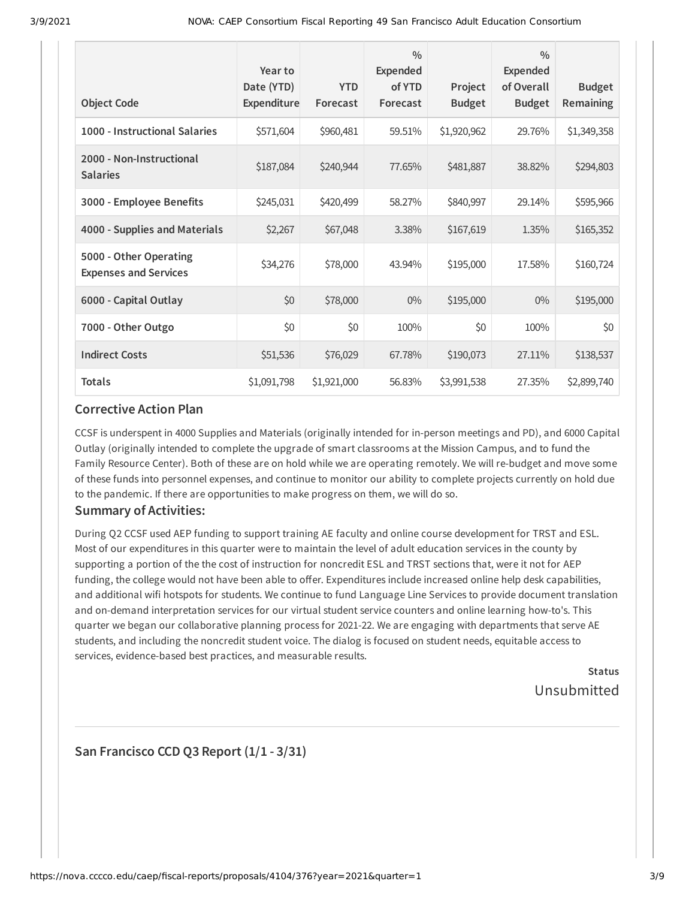| <b>Object Code</b>                                     | Year to<br>Date (YTD)<br><b>Expenditure</b> | <b>YTD</b><br>Forecast | $\frac{0}{0}$<br><b>Expended</b><br>of YTD<br>Forecast | Project<br><b>Budget</b> | $\frac{0}{0}$<br><b>Expended</b><br>of Overall<br><b>Budget</b> | <b>Budget</b><br>Remaining |
|--------------------------------------------------------|---------------------------------------------|------------------------|--------------------------------------------------------|--------------------------|-----------------------------------------------------------------|----------------------------|
| 1000 - Instructional Salaries                          | \$571,604                                   | \$960,481              | 59.51%                                                 | \$1,920,962              | 29.76%                                                          | \$1,349,358                |
| 2000 - Non-Instructional<br><b>Salaries</b>            | \$187,084                                   | \$240,944              | 77.65%                                                 | \$481,887                | 38.82%                                                          | \$294,803                  |
| 3000 - Employee Benefits                               | \$245,031                                   | \$420,499              | 58.27%                                                 | \$840,997                | 29.14%                                                          | \$595,966                  |
| 4000 - Supplies and Materials                          | \$2,267                                     | \$67,048               | 3.38%                                                  | \$167,619                | 1.35%                                                           | \$165,352                  |
| 5000 - Other Operating<br><b>Expenses and Services</b> | \$34,276                                    | \$78,000               | 43.94%                                                 | \$195,000                | 17.58%                                                          | \$160,724                  |
| 6000 - Capital Outlay                                  | \$0                                         | \$78,000               | $0\%$                                                  | \$195,000                | $0\%$                                                           | \$195,000                  |
| 7000 - Other Outgo                                     | \$0                                         | \$0                    | 100%                                                   | \$0                      | 100%                                                            | \$0                        |
| <b>Indirect Costs</b>                                  | \$51,536                                    | \$76,029               | 67.78%                                                 | \$190,073                | 27.11%                                                          | \$138,537                  |
| <b>Totals</b>                                          | \$1,091,798                                 | \$1,921,000            | 56.83%                                                 | \$3,991,538              | 27.35%                                                          | \$2,899,740                |

### **Corrective Action Plan**

CCSF is underspent in 4000 Supplies and Materials (originally intended for in-person meetings and PD), and 6000 Capital Outlay (originally intended to complete the upgrade of smart classrooms at the Mission Campus, and to fund the Family Resource Center). Both of these are on hold while we are operating remotely. We will re-budget and move some of these funds into personnel expenses, and continue to monitor our ability to complete projects currently on hold due to the pandemic. If there are opportunities to make progress on them, we will do so.

### **Summary of Activities:**

During Q2 CCSF used AEP funding to support training AE faculty and online course development for TRST and ESL. Most of our expenditures in this quarter were to maintain the level of adult education services in the county by supporting a portion of the the cost of instruction for noncredit ESL and TRST sections that, were it not for AEP funding, the college would not have been able to offer. Expenditures include increased online help desk capabilities, and additional wifi hotspots for students. We continue to fund Language Line Services to provide document translation and on-demand interpretation services for our virtual student service counters and online learning how-to's. This quarter we began our collaborative planning process for 2021-22. We are engaging with departments that serve AE students, and including the noncredit student voice. The dialog is focused on student needs, equitable access to services, evidence-based best practices, and measurable results.

> **Status** Unsubmitted

## **San Francisco CCD Q3 Report (1/1 - 3/31)**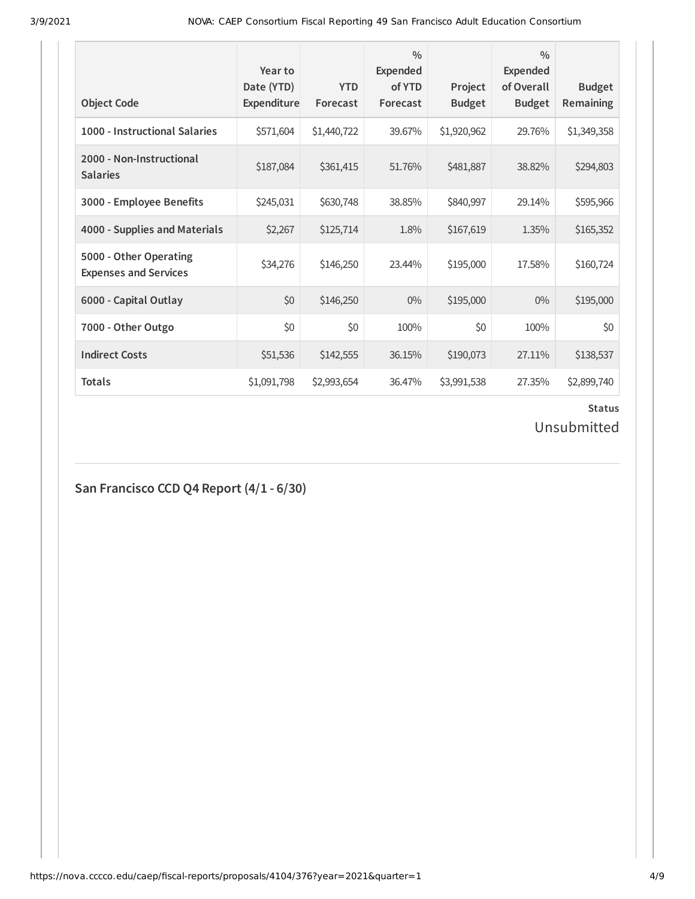| <b>Object Code</b>                                     | Year to<br>Date (YTD)<br>Expenditure | <b>YTD</b><br>Forecast | $\frac{0}{0}$<br>Expended<br>of YTD<br>Forecast | Project<br><b>Budget</b> | $\frac{0}{0}$<br>Expended<br>of Overall<br><b>Budget</b> | <b>Budget</b><br>Remaining |
|--------------------------------------------------------|--------------------------------------|------------------------|-------------------------------------------------|--------------------------|----------------------------------------------------------|----------------------------|
| 1000 - Instructional Salaries                          | \$571,604                            | \$1,440,722            | 39.67%                                          | \$1,920,962              | 29.76%                                                   | \$1,349,358                |
| 2000 - Non-Instructional<br><b>Salaries</b>            | \$187,084                            | \$361,415              | 51.76%                                          | \$481,887                | 38.82%                                                   | \$294,803                  |
| 3000 - Employee Benefits                               | \$245,031                            | \$630,748              | 38.85%                                          | \$840,997                | 29.14%                                                   | \$595,966                  |
| 4000 - Supplies and Materials                          | \$2,267                              | \$125,714              | 1.8%                                            | \$167,619                | 1.35%                                                    | \$165,352                  |
| 5000 - Other Operating<br><b>Expenses and Services</b> | \$34,276                             | \$146,250              | 23.44%                                          | \$195,000                | 17.58%                                                   | \$160,724                  |
| 6000 - Capital Outlay                                  | \$0                                  | \$146,250              | 0%                                              | \$195,000                | $0\%$                                                    | \$195,000                  |
| 7000 - Other Outgo                                     | \$0                                  | \$0                    | 100%                                            | \$0                      | 100%                                                     | \$0                        |
| <b>Indirect Costs</b>                                  | \$51,536                             | \$142,555              | 36.15%                                          | \$190,073                | 27.11%                                                   | \$138,537                  |
| <b>Totals</b>                                          | \$1,091,798                          | \$2,993,654            | 36.47%                                          | \$3,991,538              | 27.35%                                                   | \$2,899,740                |

### **Status**

# Unsubmitted

# **San Francisco CCD Q4 Report (4/1 - 6/30)**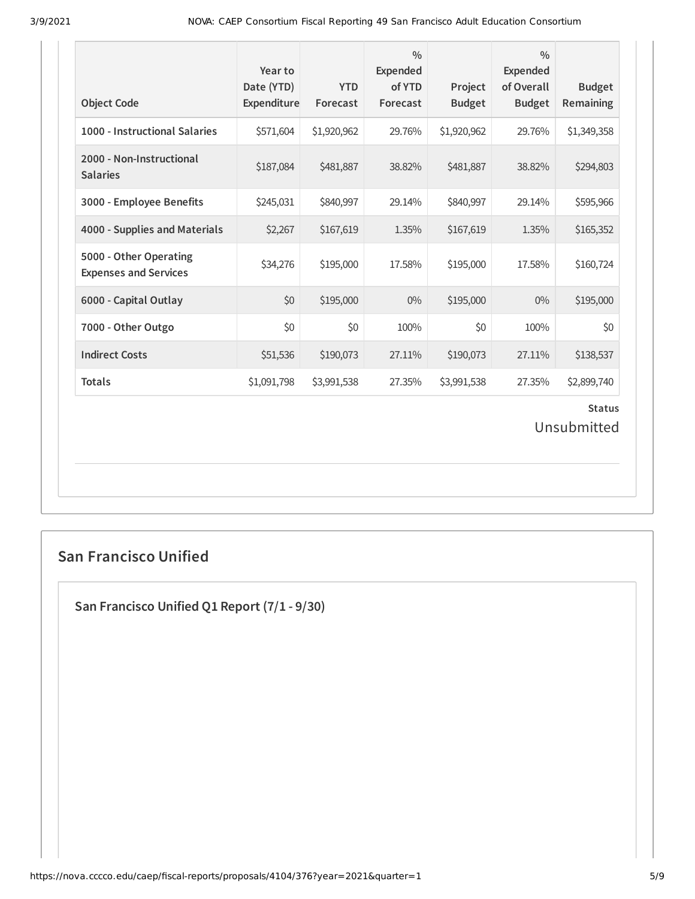| <b>Object Code</b>                                     | Year to<br>Date (YTD)<br>Expenditure | <b>YTD</b><br>Forecast | $\frac{0}{0}$<br><b>Expended</b><br>of YTD<br>Forecast | Project<br><b>Budget</b> | $\frac{0}{0}$<br><b>Expended</b><br>of Overall<br><b>Budget</b> | <b>Budget</b><br>Remaining |  |
|--------------------------------------------------------|--------------------------------------|------------------------|--------------------------------------------------------|--------------------------|-----------------------------------------------------------------|----------------------------|--|
| 1000 - Instructional Salaries                          | \$571,604                            | \$1,920,962            | 29.76%                                                 | \$1,920,962              | 29.76%                                                          | \$1,349,358                |  |
| 2000 - Non-Instructional<br><b>Salaries</b>            | \$187,084                            | \$481,887              | 38.82%                                                 | \$481,887                | 38.82%                                                          | \$294,803                  |  |
| 3000 - Employee Benefits                               | \$245,031                            | \$840,997              | 29.14%                                                 | \$840,997                | 29.14%                                                          | \$595,966                  |  |
| 4000 - Supplies and Materials                          | \$2,267                              | \$167,619              | 1.35%                                                  | \$167,619                | 1.35%                                                           | \$165,352                  |  |
| 5000 - Other Operating<br><b>Expenses and Services</b> | \$34,276                             | \$195,000              | 17.58%                                                 | \$195,000                | 17.58%                                                          | \$160,724                  |  |
| 6000 - Capital Outlay                                  | \$0                                  | \$195,000              | $0\%$                                                  | \$195,000                | $0\%$                                                           | \$195,000                  |  |
| 7000 - Other Outgo                                     | \$0                                  | \$0                    | 100%                                                   | \$0                      | 100%                                                            | \$0                        |  |
| <b>Indirect Costs</b>                                  | \$51,536                             | \$190,073              | 27.11%                                                 | \$190,073                | 27.11%                                                          | \$138,537                  |  |
| <b>Totals</b>                                          | \$1,091,798                          | \$3,991,538            | 27.35%                                                 | \$3,991,538              | 27.35%                                                          | \$2,899,740                |  |
| <b>Status</b><br>Unsubmitted                           |                                      |                        |                                                        |                          |                                                                 |                            |  |

# **San Francisco Unified**

**San Francisco Unified Q1 Report (7/1 - 9/30)**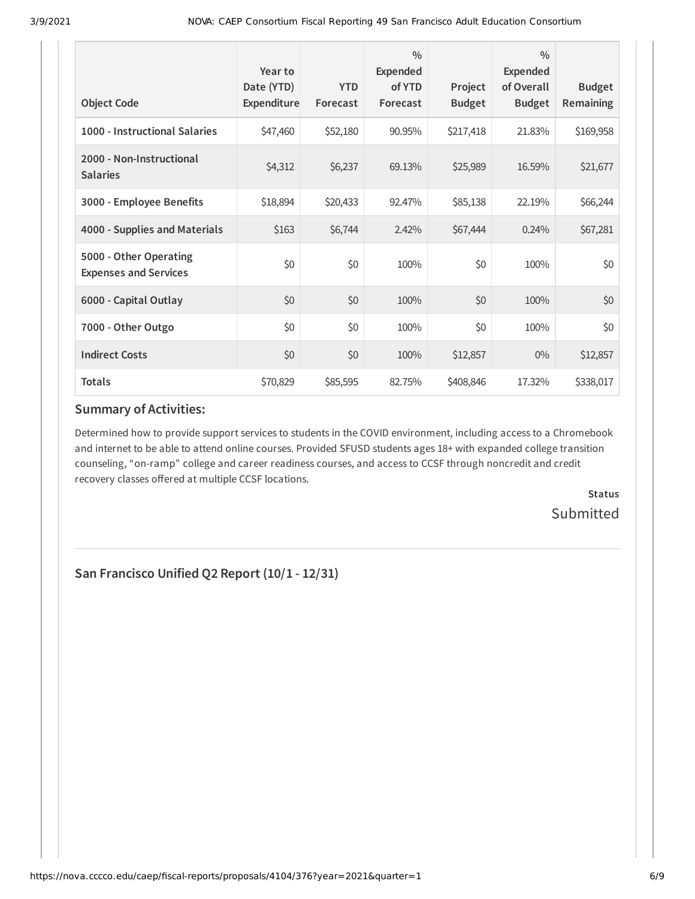| <b>Object Code</b>                                     | Year to<br>Date (YTD)<br><b>Expenditure</b> | <b>YTD</b><br>Forecast | $\frac{0}{0}$<br>Expended<br>of YTD<br>Forecast | Project<br><b>Budget</b> | $\frac{0}{0}$<br>Expended<br>of Overall<br><b>Budget</b> | <b>Budget</b><br><b>Remaining</b> |
|--------------------------------------------------------|---------------------------------------------|------------------------|-------------------------------------------------|--------------------------|----------------------------------------------------------|-----------------------------------|
| 1000 - Instructional Salaries                          | \$47,460                                    | \$52,180               | 90.95%                                          | \$217,418                | 21.83%                                                   | \$169,958                         |
| 2000 - Non-Instructional<br><b>Salaries</b>            | \$4,312                                     | \$6,237                | 69.13%                                          | \$25,989                 | 16.59%                                                   | \$21,677                          |
| 3000 - Employee Benefits                               | \$18,894                                    | \$20,433               | 92.47%                                          | \$85,138                 | 22.19%                                                   | \$66,244                          |
| 4000 - Supplies and Materials                          | \$163                                       | \$6,744                | 2.42%                                           | \$67,444                 | 0.24%                                                    | \$67,281                          |
| 5000 - Other Operating<br><b>Expenses and Services</b> | \$0                                         | \$0                    | 100%                                            | \$0                      | 100%                                                     | \$0                               |
| 6000 - Capital Outlay                                  | \$0                                         | \$0                    | 100%                                            | \$0                      | 100%                                                     | \$0                               |
| 7000 - Other Outgo                                     | \$0                                         | \$0                    | 100%                                            | \$0                      | 100%                                                     | \$0                               |
| <b>Indirect Costs</b>                                  | \$0                                         | \$0                    | 100%                                            | \$12,857                 | $0\%$                                                    | \$12,857                          |
| <b>Totals</b>                                          | \$70,829                                    | \$85,595               | 82.75%                                          | \$408,846                | 17.32%                                                   | \$338,017                         |

### **Summary of Activities:**

Determined how to provide support services to students in the COVID environment, including access to a Chromebook and internet to be able to attend online courses. Provided SFUSD students ages 18+ with expanded college transition counseling, "on-ramp" college and career readiness courses, and access to CCSF through noncredit and credit recovery classes offered at multiple CCSF locations.

> **Status Submitted**

**San Francisco Unified Q2 Report (10/1 - 12/31)**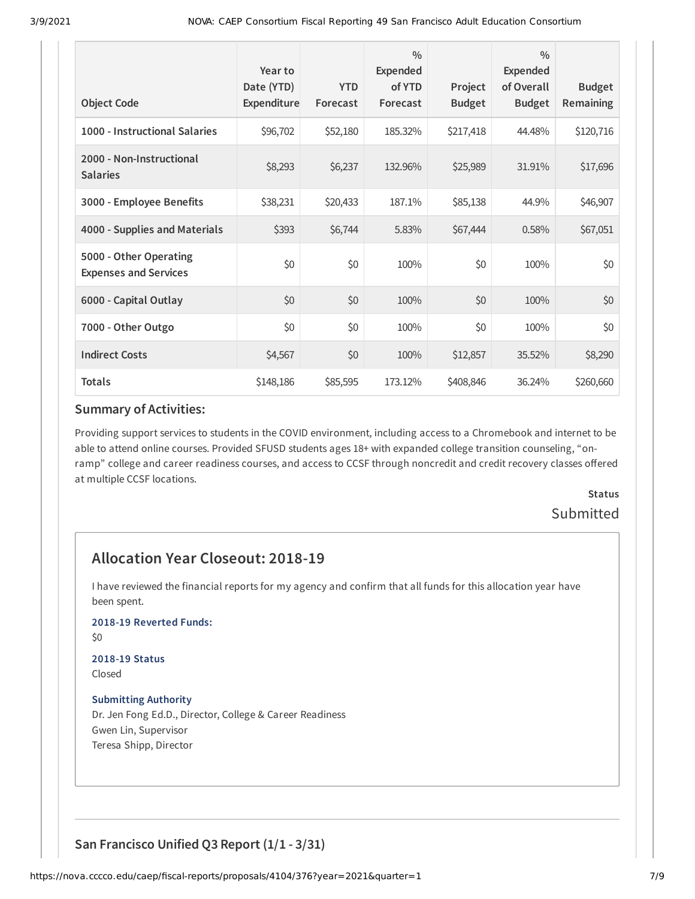| <b>Object Code</b>                                     | Year to<br>Date (YTD)<br>Expenditure | <b>YTD</b><br>Forecast | $\frac{0}{0}$<br>Expended<br>of YTD<br>Forecast | Project<br><b>Budget</b> | $\frac{0}{0}$<br><b>Expended</b><br>of Overall<br><b>Budget</b> | <b>Budget</b><br>Remaining |
|--------------------------------------------------------|--------------------------------------|------------------------|-------------------------------------------------|--------------------------|-----------------------------------------------------------------|----------------------------|
| 1000 - Instructional Salaries                          |                                      |                        | 185.32%                                         |                          | 44.48%                                                          |                            |
|                                                        | \$96,702                             | \$52,180               |                                                 | \$217,418                |                                                                 | \$120,716                  |
| 2000 - Non-Instructional<br><b>Salaries</b>            | \$8,293                              | \$6,237                | 132.96%                                         | \$25,989                 | 31.91%                                                          | \$17,696                   |
| 3000 - Employee Benefits                               | \$38,231                             | \$20,433               | 187.1%                                          | \$85,138                 | 44.9%                                                           | \$46,907                   |
| 4000 - Supplies and Materials                          | \$393                                | \$6,744                | 5.83%                                           | \$67,444                 | 0.58%                                                           | \$67,051                   |
| 5000 - Other Operating<br><b>Expenses and Services</b> | \$0                                  | \$0                    | 100%                                            | \$0                      | 100%                                                            | \$0                        |
| 6000 - Capital Outlay                                  | \$0                                  | \$0                    | 100%                                            | \$0                      | 100%                                                            | \$0                        |
| 7000 - Other Outgo                                     | \$0                                  | \$0                    | 100%                                            | \$0                      | 100%                                                            | \$0                        |
| <b>Indirect Costs</b>                                  | \$4,567                              | \$0                    | 100%                                            | \$12,857                 | 35.52%                                                          | \$8,290                    |
| <b>Totals</b>                                          | \$148,186                            | \$85,595               | 173.12%                                         | \$408,846                | 36.24%                                                          | \$260,660                  |

#### **Summary of Activities:**

Providing support services to students in the COVID environment, including access to a Chromebook and internet to be able to attend online courses. Provided SFUSD students ages 18+ with expanded college transition counseling, "onramp" college and career readiness courses, and access to CCSF through noncredit and credit recovery classes offered at multiple CCSF locations.

> **Status** Submitted

# **Allocation Year Closeout: 2018-19**

I have reviewed the financial reports for my agency and confirm that all funds for this allocation year have been spent.

#### **2018-19 Reverted Funds:**

\$0

#### **2018-19 Status** Closed

### **Submitting Authority**

Dr. Jen Fong Ed.D., Director, College & Career Readiness Gwen Lin, Supervisor Teresa Shipp, Director

### **San Francisco Unified Q3 Report (1/1 - 3/31)**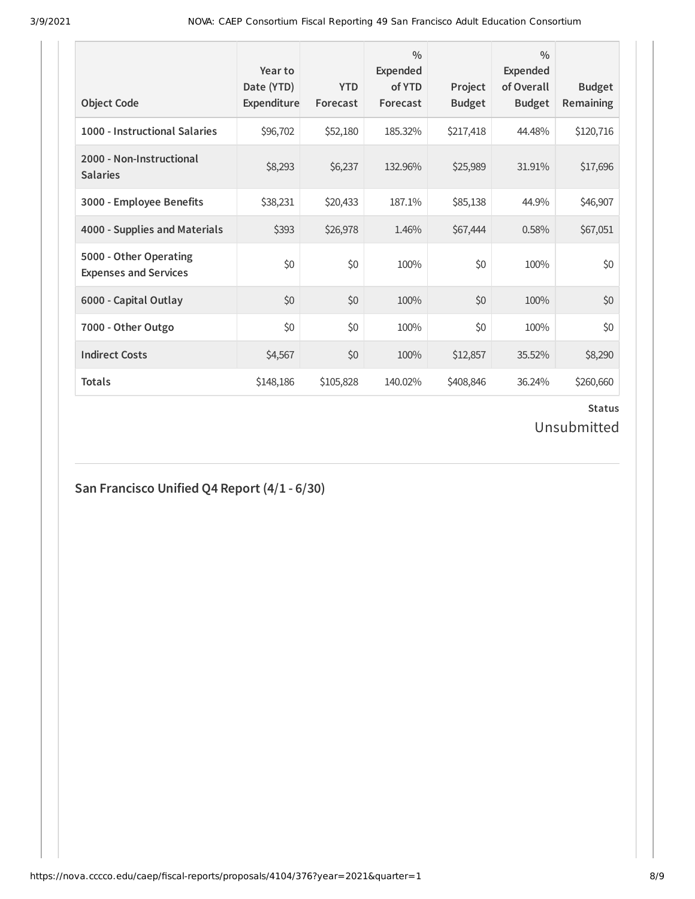| <b>Object Code</b>                                     | Year to<br>Date (YTD)<br>Expenditure | <b>YTD</b><br>Forecast | $\frac{0}{0}$<br><b>Expended</b><br>of YTD<br>Forecast | Project<br><b>Budget</b> | $\frac{0}{0}$<br>Expended<br>of Overall<br><b>Budget</b> | <b>Budget</b><br><b>Remaining</b> |
|--------------------------------------------------------|--------------------------------------|------------------------|--------------------------------------------------------|--------------------------|----------------------------------------------------------|-----------------------------------|
| 1000 - Instructional Salaries                          | \$96,702                             | \$52,180               | 185.32%                                                | \$217,418                | 44.48%                                                   | \$120,716                         |
| 2000 - Non-Instructional<br><b>Salaries</b>            | \$8,293                              | \$6,237                | 132.96%                                                | \$25,989                 | 31.91%                                                   | \$17,696                          |
| 3000 - Employee Benefits                               | \$38,231                             | \$20,433               | 187.1%                                                 | \$85,138                 | 44.9%                                                    | \$46,907                          |
| 4000 - Supplies and Materials                          | \$393                                | \$26,978               | 1.46%                                                  | \$67,444                 | 0.58%                                                    | \$67,051                          |
| 5000 - Other Operating<br><b>Expenses and Services</b> | \$0                                  | \$0                    | 100%                                                   | \$0                      | 100%                                                     | \$0                               |
| 6000 - Capital Outlay                                  | \$0                                  | \$0                    | 100%                                                   | \$0                      | 100%                                                     | \$0                               |
| 7000 - Other Outgo                                     | \$0                                  | \$0                    | 100%                                                   | \$0                      | 100%                                                     | \$0                               |
| <b>Indirect Costs</b>                                  | \$4,567                              | \$0                    | 100%                                                   | \$12,857                 | 35.52%                                                   | \$8,290                           |
| <b>Totals</b>                                          | \$148,186                            | \$105,828              | 140.02%                                                | \$408,846                | 36.24%                                                   | \$260,660                         |

# **Status**

Unsubmitted

# **San Francisco Unified Q4 Report (4/1 - 6/30)**